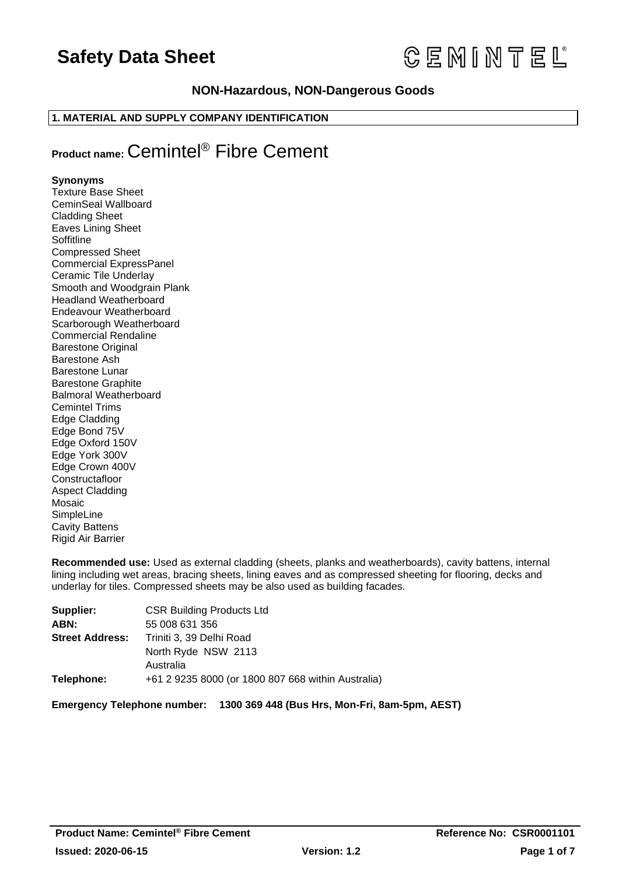# **CEMINTEL**

# **NON-Hazardous, NON-Dangerous Goods**

# **1. MATERIAL AND SUPPLY COMPANY IDENTIFICATION**

# **Product name:** Cemintel® Fibre Cement

# **Synonyms**

Texture Base Sheet CeminSeal Wallboard Cladding Sheet Eaves Lining Sheet **Soffitline** Compressed Sheet Commercial ExpressPanel Ceramic Tile Underlay Smooth and Woodgrain Plank Headland Weatherboard Endeavour Weatherboard Scarborough Weatherboard Commercial Rendaline Barestone Original Barestone Ash Barestone Lunar Barestone Graphite Balmoral Weatherboard Cemintel Trims Edge Cladding Edge Bond 75V Edge Oxford 150V Edge York 300V Edge Crown 400V **Constructafloor** Aspect Cladding Mosaic SimpleLine Cavity Battens Rigid Air Barrier

**Recommended use:** Used as external cladding (sheets, planks and weatherboards), cavity battens, internal lining including wet areas, bracing sheets, lining eaves and as compressed sheeting for flooring, decks and underlay for tiles. Compressed sheets may be also used as building facades.

| Supplier:              | <b>CSR Building Products Ltd</b>                   |
|------------------------|----------------------------------------------------|
| ABN:                   | 55 008 631 356                                     |
| <b>Street Address:</b> | Triniti 3, 39 Delhi Road                           |
|                        | North Ryde NSW 2113                                |
|                        | Australia                                          |
| Telephone:             | +61 2 9235 8000 (or 1800 807 668 within Australia) |

**Emergency Telephone number: 1300 369 448 (Bus Hrs, Mon-Fri, 8am-5pm, AEST)**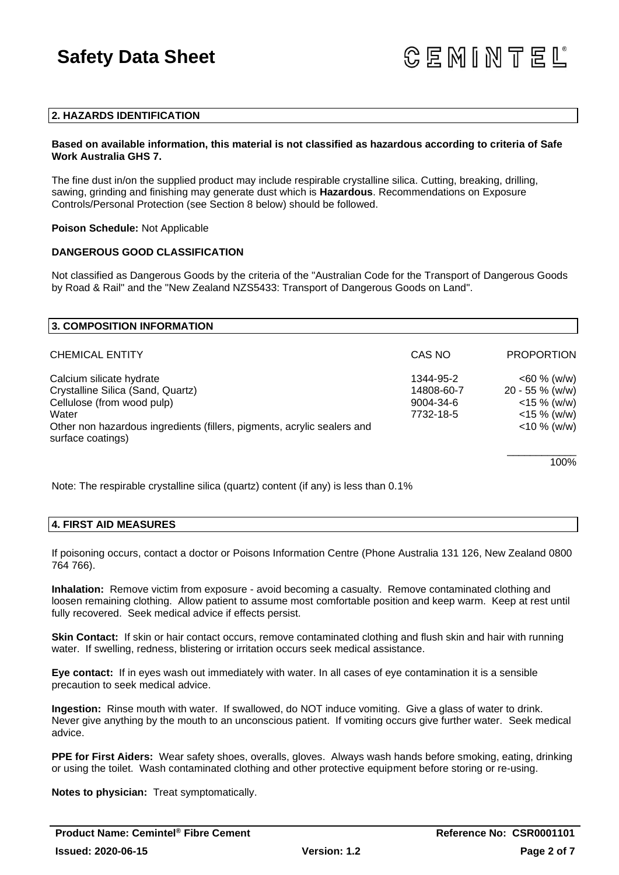### **2. HAZARDS IDENTIFICATION**

### **Based on available information, this material is not classified as hazardous according to criteria of Safe Work Australia GHS 7.**

The fine dust in/on the supplied product may include respirable crystalline silica. Cutting, breaking, drilling, sawing, grinding and finishing may generate dust which is **Hazardous**. Recommendations on Exposure Controls/Personal Protection (see Section 8 below) should be followed.

### **Poison Schedule:** Not Applicable

# **DANGEROUS GOOD CLASSIFICATION**

Not classified as Dangerous Goods by the criteria of the "Australian Code for the Transport of Dangerous Goods by Road & Rail" and the "New Zealand NZS5433: Transport of Dangerous Goods on Land".

| 3. COMPOSITION INFORMATION                                                                   |            |                   |
|----------------------------------------------------------------------------------------------|------------|-------------------|
| <b>CHEMICAL ENTITY</b>                                                                       | CAS NO     | <b>PROPORTION</b> |
| Calcium silicate hydrate                                                                     | 1344-95-2  | $<$ 60 % (w/w)    |
| Crystalline Silica (Sand, Quartz)                                                            | 14808-60-7 | $20 - 55 %$ (w/w) |
| Cellulose (from wood pulp)                                                                   | 9004-34-6  | $<$ 15 % (w/w)    |
| Water                                                                                        | 7732-18-5  | $<$ 15 % (w/w)    |
| Other non hazardous ingredients (fillers, pigments, acrylic sealers and<br>surface coatings) |            | $<$ 10 % (w/w)    |
|                                                                                              |            | 100%              |

Note: The respirable crystalline silica (quartz) content (if any) is less than 0.1%

### **4. FIRST AID MEASURES**

If poisoning occurs, contact a doctor or Poisons Information Centre (Phone Australia 131 126, New Zealand 0800 764 766).

**Inhalation:** Remove victim from exposure - avoid becoming a casualty. Remove contaminated clothing and loosen remaining clothing. Allow patient to assume most comfortable position and keep warm. Keep at rest until fully recovered. Seek medical advice if effects persist.

**Skin Contact:** If skin or hair contact occurs, remove contaminated clothing and flush skin and hair with running water. If swelling, redness, blistering or irritation occurs seek medical assistance.

**Eye contact:** If in eyes wash out immediately with water. In all cases of eye contamination it is a sensible precaution to seek medical advice.

**Ingestion:** Rinse mouth with water. If swallowed, do NOT induce vomiting. Give a glass of water to drink. Never give anything by the mouth to an unconscious patient. If vomiting occurs give further water. Seek medical advice.

**PPE for First Aiders:** Wear safety shoes, overalls, gloves. Always wash hands before smoking, eating, drinking or using the toilet. Wash contaminated clothing and other protective equipment before storing or re-using.

**Notes to physician:** Treat symptomatically.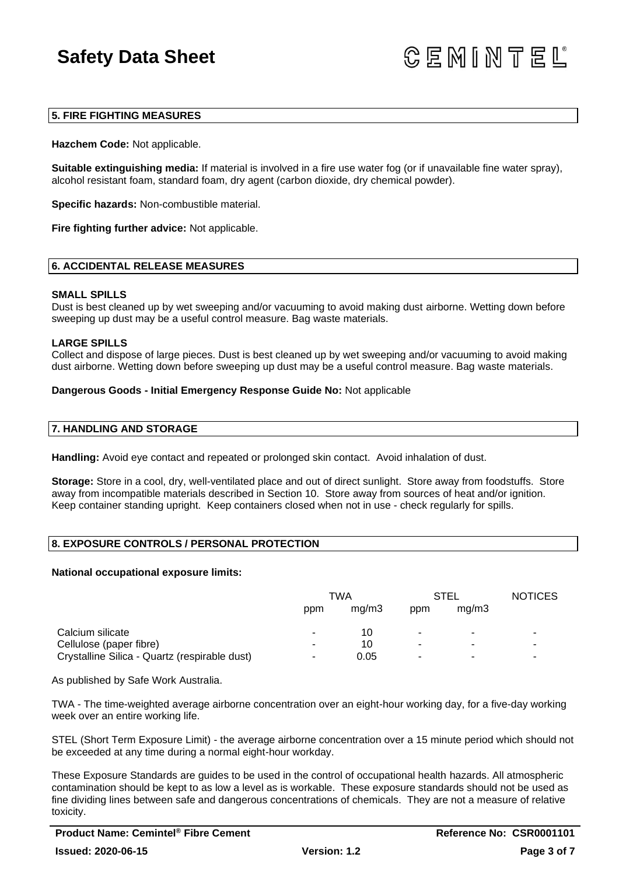**GEMINTEL** 

### **5. FIRE FIGHTING MEASURES**

**Hazchem Code:** Not applicable.

**Suitable extinguishing media:** If material is involved in a fire use water fog (or if unavailable fine water spray), alcohol resistant foam, standard foam, dry agent (carbon dioxide, dry chemical powder).

**Specific hazards:** Non-combustible material.

**Fire fighting further advice:** Not applicable.

### **6. ACCIDENTAL RELEASE MEASURES**

#### **SMALL SPILLS**

Dust is best cleaned up by wet sweeping and/or vacuuming to avoid making dust airborne. Wetting down before sweeping up dust may be a useful control measure. Bag waste materials.

#### **LARGE SPILLS**

Collect and dispose of large pieces. Dust is best cleaned up by wet sweeping and/or vacuuming to avoid making dust airborne. Wetting down before sweeping up dust may be a useful control measure. Bag waste materials.

#### **Dangerous Goods - Initial Emergency Response Guide No:** Not applicable

#### **7. HANDLING AND STORAGE**

**Handling:** Avoid eye contact and repeated or prolonged skin contact. Avoid inhalation of dust.

**Storage:** Store in a cool, dry, well-ventilated place and out of direct sunlight. Store away from foodstuffs. Store away from incompatible materials described in Section 10. Store away from sources of heat and/or ignition. Keep container standing upright. Keep containers closed when not in use - check regularly for spills.

### **8. EXPOSURE CONTROLS / PERSONAL PROTECTION**

#### **National occupational exposure limits:**

|                                               | TWA |       | STEL |       | <b>NOTICES</b>        |
|-----------------------------------------------|-----|-------|------|-------|-----------------------|
|                                               | ppm | mq/m3 | ppm  | mq/m3 |                       |
| Calcium silicate                              |     | 10    | ٠    | ٠     | ٠                     |
| Cellulose (paper fibre)                       | -   | 10    | ٠    | ۰     | $\tilde{\phantom{a}}$ |
| Crystalline Silica - Quartz (respirable dust) | ۰.  | 0.05  | ٠    |       | ٠                     |

As published by Safe Work Australia.

TWA - The time-weighted average airborne concentration over an eight-hour working day, for a five-day working week over an entire working life.

STEL (Short Term Exposure Limit) - the average airborne concentration over a 15 minute period which should not be exceeded at any time during a normal eight-hour workday.

These Exposure Standards are guides to be used in the control of occupational health hazards. All atmospheric contamination should be kept to as low a level as is workable. These exposure standards should not be used as fine dividing lines between safe and dangerous concentrations of chemicals. They are not a measure of relative toxicity.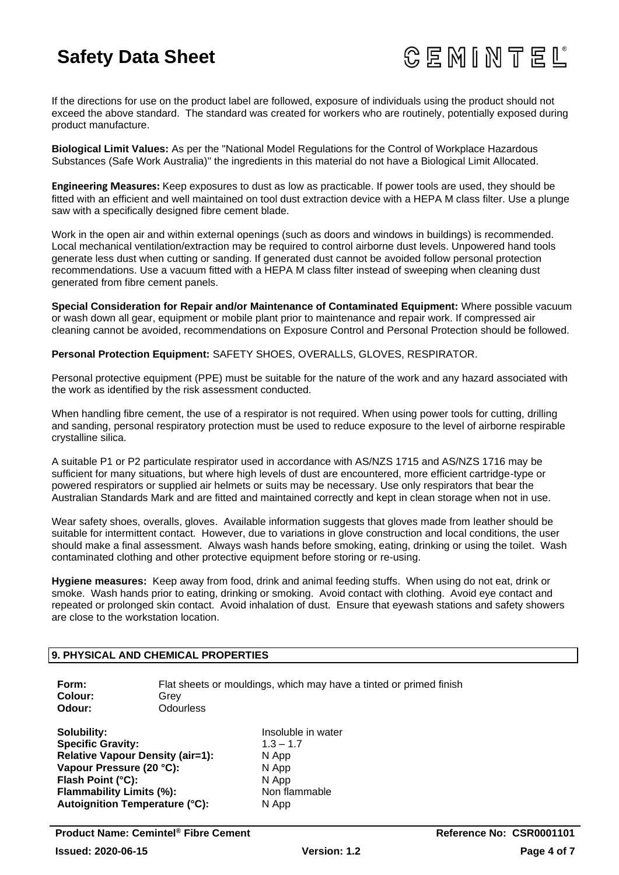

If the directions for use on the product label are followed, exposure of individuals using the product should not exceed the above standard. The standard was created for workers who are routinely, potentially exposed during product manufacture.

**Biological Limit Values:** As per the "National Model Regulations for the Control of Workplace Hazardous Substances (Safe Work Australia)" the ingredients in this material do not have a Biological Limit Allocated.

**Engineering Measures:** Keep exposures to dust as low as practicable. If power tools are used, they should be fitted with an efficient and well maintained on tool dust extraction device with a HEPA M class filter. Use a plunge saw with a specifically designed fibre cement blade.

Work in the open air and within external openings (such as doors and windows in buildings) is recommended. Local mechanical ventilation/extraction may be required to control airborne dust levels. Unpowered hand tools generate less dust when cutting or sanding. If generated dust cannot be avoided follow personal protection recommendations. Use a vacuum fitted with a HEPA M class filter instead of sweeping when cleaning dust generated from fibre cement panels.

**Special Consideration for Repair and/or Maintenance of Contaminated Equipment:** Where possible vacuum or wash down all gear, equipment or mobile plant prior to maintenance and repair work. If compressed air cleaning cannot be avoided, recommendations on Exposure Control and Personal Protection should be followed.

**Personal Protection Equipment:** SAFETY SHOES, OVERALLS, GLOVES, RESPIRATOR.

Personal protective equipment (PPE) must be suitable for the nature of the work and any hazard associated with the work as identified by the risk assessment conducted.

When handling fibre cement, the use of a respirator is not required. When using power tools for cutting, drilling and sanding, personal respiratory protection must be used to reduce exposure to the level of airborne respirable crystalline silica.

A suitable P1 or P2 particulate respirator used in accordance with AS/NZS 1715 and AS/NZS 1716 may be sufficient for many situations, but where high levels of dust are encountered, more efficient cartridge-type or powered respirators or supplied air helmets or suits may be necessary. Use only respirators that bear the Australian Standards Mark and are fitted and maintained correctly and kept in clean storage when not in use.

Wear safety shoes, overalls, gloves. Available information suggests that gloves made from leather should be suitable for intermittent contact. However, due to variations in glove construction and local conditions, the user should make a final assessment. Always wash hands before smoking, eating, drinking or using the toilet. Wash contaminated clothing and other protective equipment before storing or re-using.

**Hygiene measures:** Keep away from food, drink and animal feeding stuffs. When using do not eat, drink or smoke. Wash hands prior to eating, drinking or smoking. Avoid contact with clothing. Avoid eye contact and repeated or prolonged skin contact. Avoid inhalation of dust. Ensure that eyewash stations and safety showers are close to the workstation location.

## **9. PHYSICAL AND CHEMICAL PROPERTIES**

| Form:    | Flat sheets or mouldings, which may have a tinted or primed finish |
|----------|--------------------------------------------------------------------|
| Colour:  | Grev                                                               |
| Odour: . | <b>Odourless</b>                                                   |
|          |                                                                    |

**Specific Gravity:** 1.3 – 1.7 **Relative Vapour Density (air=1):** N App **Vapour Pressure (20 °C):** N App **Flash Point (°C):** N App **Flammability Limits (%):** Non flammable **Autoignition Temperature (°C):** N App

**Solubility:** Insoluble in water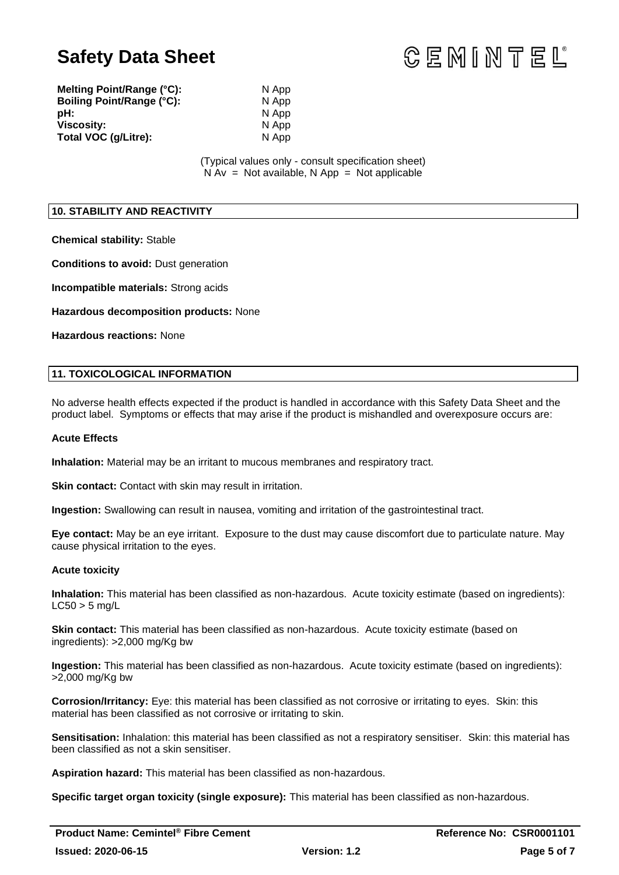

**Melting Point/Range (°C):** N App **Boiling Point/Range (°C):** N App **pH:** N App **Viscosity:** N App Total VOC (g/Litre): N App

(Typical values only - consult specification sheet)  $N Av = Not available, N App = Not applicable$ 

## **10. STABILITY AND REACTIVITY**

**Chemical stability:** Stable

**Conditions to avoid:** Dust generation

**Incompatible materials:** Strong acids

**Hazardous decomposition products:** None

**Hazardous reactions:** None

# **11. TOXICOLOGICAL INFORMATION**

No adverse health effects expected if the product is handled in accordance with this Safety Data Sheet and the product label. Symptoms or effects that may arise if the product is mishandled and overexposure occurs are:

### **Acute Effects**

**Inhalation:** Material may be an irritant to mucous membranes and respiratory tract.

**Skin contact:** Contact with skin may result in irritation.

**Ingestion:** Swallowing can result in nausea, vomiting and irritation of the gastrointestinal tract.

**Eye contact:** May be an eye irritant. Exposure to the dust may cause discomfort due to particulate nature. May cause physical irritation to the eyes.

### **Acute toxicity**

**Inhalation:** This material has been classified as non-hazardous. Acute toxicity estimate (based on ingredients):  $LC50 > 5$  mg/L

**Skin contact:** This material has been classified as non-hazardous. Acute toxicity estimate (based on ingredients): >2,000 mg/Kg bw

**Ingestion:** This material has been classified as non-hazardous. Acute toxicity estimate (based on ingredients): >2,000 mg/Kg bw

**Corrosion/Irritancy:** Eye: this material has been classified as not corrosive or irritating to eyes. Skin: this material has been classified as not corrosive or irritating to skin.

**Sensitisation:** Inhalation: this material has been classified as not a respiratory sensitiser. Skin: this material has been classified as not a skin sensitiser.

**Aspiration hazard:** This material has been classified as non-hazardous.

**Specific target organ toxicity (single exposure):** This material has been classified as non-hazardous.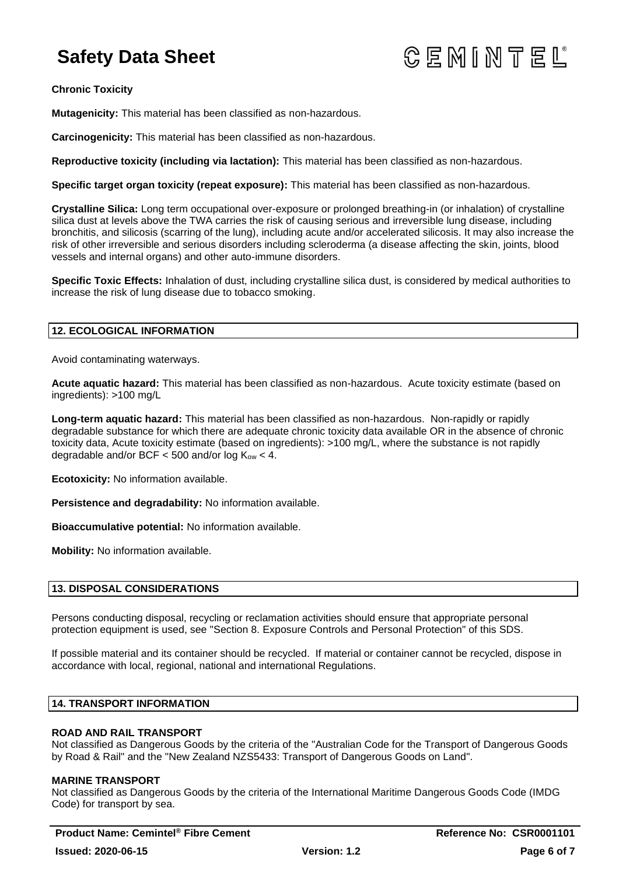# **GEMINTEL**

**Chronic Toxicity**

**Mutagenicity:** This material has been classified as non-hazardous.

**Carcinogenicity:** This material has been classified as non-hazardous.

**Reproductive toxicity (including via lactation):** This material has been classified as non-hazardous.

**Specific target organ toxicity (repeat exposure):** This material has been classified as non-hazardous.

**Crystalline Silica:** Long term occupational over-exposure or prolonged breathing-in (or inhalation) of crystalline silica dust at levels above the TWA carries the risk of causing serious and irreversible lung disease, including bronchitis, and silicosis (scarring of the lung), including acute and/or accelerated silicosis. It may also increase the risk of other irreversible and serious disorders including scleroderma (a disease affecting the skin, joints, blood vessels and internal organs) and other auto-immune disorders.

**Specific Toxic Effects:** Inhalation of dust, including crystalline silica dust, is considered by medical authorities to increase the risk of lung disease due to tobacco smoking.

# **12. ECOLOGICAL INFORMATION**

Avoid contaminating waterways.

**Acute aquatic hazard:** This material has been classified as non-hazardous. Acute toxicity estimate (based on ingredients): >100 mg/L

**Long-term aquatic hazard:** This material has been classified as non-hazardous. Non-rapidly or rapidly degradable substance for which there are adequate chronic toxicity data available OR in the absence of chronic toxicity data, Acute toxicity estimate (based on ingredients): >100 mg/L, where the substance is not rapidly degradable and/or BCF  $<$  500 and/or log  $K_{ow}$   $<$  4.

**Ecotoxicity:** No information available.

**Persistence and degradability:** No information available.

**Bioaccumulative potential:** No information available.

**Mobility:** No information available.

# **13. DISPOSAL CONSIDERATIONS**

Persons conducting disposal, recycling or reclamation activities should ensure that appropriate personal protection equipment is used, see "Section 8. Exposure Controls and Personal Protection" of this SDS.

If possible material and its container should be recycled. If material or container cannot be recycled, dispose in accordance with local, regional, national and international Regulations.

### **14. TRANSPORT INFORMATION**

# **ROAD AND RAIL TRANSPORT**

Not classified as Dangerous Goods by the criteria of the "Australian Code for the Transport of Dangerous Goods by Road & Rail" and the "New Zealand NZS5433: Transport of Dangerous Goods on Land".

### **MARINE TRANSPORT**

Not classified as Dangerous Goods by the criteria of the International Maritime Dangerous Goods Code (IMDG Code) for transport by sea.

**Product Name: Cemintel<sup>®</sup> Fibre Cement Reference No: CSR0001101**